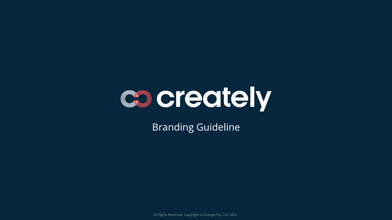

# Branding Guideline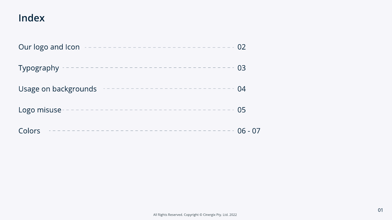# Index





| Our logo and Icon<br>-------------------------------- | 02 |
|-------------------------------------------------------|----|
| Typography $------$                                   | 03 |
| Usage on backgrounds                                  | 04 |
| Logo misuse -                                         | 05 |
| Colors                                                | 06 |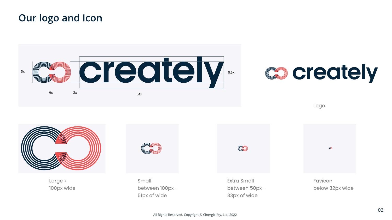Logo



Large > 100px wide



Small between 100px - 51px of wide

# **Coreately**

Extra Small between 50px - 33px of wide

Favicon below 32px wide

 $\boldsymbol{\infty}$ 

# Our logo and Icon







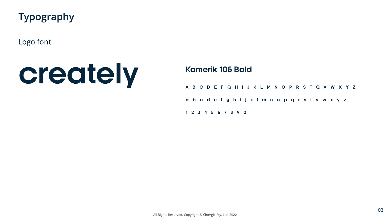

Logo font

### Kamerik 105 Bold

|  |                     |  |  |  |  | A B C D E F G H I J K L M N O P R S T Q V W X Y Z |  |  |  |  |  |  |
|--|---------------------|--|--|--|--|---------------------------------------------------|--|--|--|--|--|--|
|  |                     |  |  |  |  | abcdefghijklmnop grstvwxyz                        |  |  |  |  |  |  |
|  | 1 2 3 4 5 6 7 8 9 0 |  |  |  |  |                                                   |  |  |  |  |  |  |

# creately

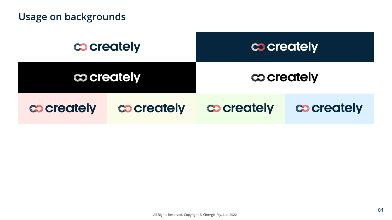# Usage on backgrounds





















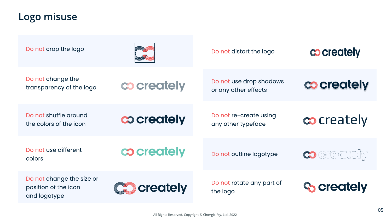Do not change the transparency of the logo

Do not use drop shadows or any other effects

Do not shuffle around the colors of the icon

Do not re-create using any
other typeface

cocreately



Do not use different







Co creately



Co creately

Do not change the size or position of the icon and logotype

Do not rotate any part of the logo



## Logo misuse

Do not crop the logo Do not distort the logo





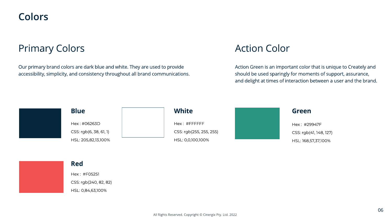

# Primary Colors

Our primary brand colors are dark blue and white. They are used to provide accessibility, simplicity, and consistency throughout all brand communications.



### Blue

Hex : #06263D CSS: rgb(6, 38, 61, 1) HSL: 205,82,13,100%





Hex : #FFFFFF CSS: rgb(255, 255, 255) HSL: 0,0,100,100%





### Red

Hex : #F05251 CSS: rgb(240, 82, 82) HSL: 0,84,63,100%

# Action Color

Action Green is an important color that is unique to Creately and should be used sparingly for moments of support, assurance, and delight at times of interaction between a user and the brand.

### **White**

### Green

Hex : #29947F CSS: rgb(41, 148, 127) HSL: 168,57,37,100%

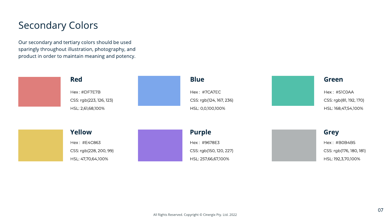# Secondary Colors

Our secondary and tertiary colors should be used sparingly throughout illustration, photography, and product in order to maintain meaning and potency.





All Rights Reserved. Copyright © Cinergix Pty. Ltd. 2022

### Red

Hex : #DF7E7B CSS: rgb(223, 126, 123) HSL: 2,61,68,100%







HSL: 0,0,100,100% HSL: 168,47,54,100%